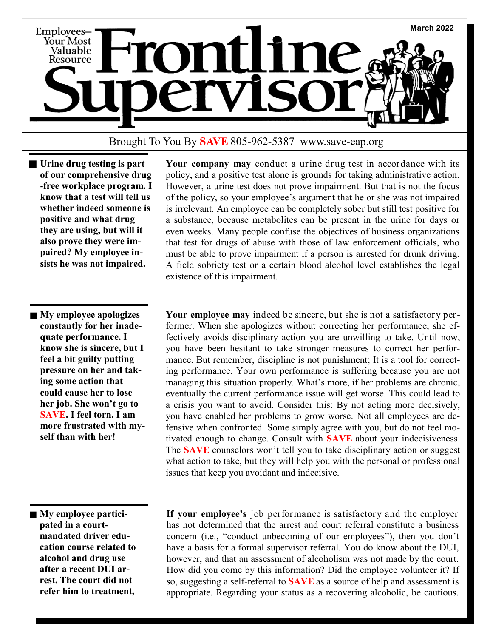

## Brought To You By **SAVE** 805-962-5387 www.save-eap.org

- **Urine drug testing is part of our comprehensive drug -free workplace program. I know that a test will tell us whether indeed someone is positive and what drug they are using, but will it also prove they were impaired? My employee insists he was not impaired.**
- **My employee apologizes constantly for her inadequate performance. I know she is sincere, but I feel a bit guilty putting pressure on her and taking some action that could cause her to lose her job. She won't go to SAVE. I feel torn. I am more frustrated with myself than with her!**

 **Your company may** conduct a urine drug test in accordance with its policy, and a positive test alone is grounds for taking administrative action. However, a urine test does not prove impairment. But that is not the focus of the policy, so your employee's argument that he or she was not impaired is irrelevant. An employee can be completely sober but still test positive for a substance, because metabolites can be present in the urine for days or even weeks. Many people confuse the objectives of business organizations that test for drugs of abuse with those of law enforcement officials, who must be able to prove impairment if a person is arrested for drunk driving. A field sobriety test or a certain blood alcohol level establishes the legal existence of this impairment.

 **Your employee may** indeed be sincere, but she is not a satisfactory performer. When she apologizes without correcting her performance, she effectively avoids disciplinary action you are unwilling to take. Until now, you have been hesitant to take stronger measures to correct her performance. But remember, discipline is not punishment; It is a tool for correcting performance. Your own performance is suffering because you are not managing this situation properly. What's more, if her problems are chronic, eventually the current performance issue will get worse. This could lead to a crisis you want to avoid. Consider this: By not acting more decisively, you have enabled her problems to grow worse. Not all employees are defensive when confronted. Some simply agree with you, but do not feel motivated enough to change. Consult with **SAVE** about your indecisiveness. The **SAVE** counselors won't tell you to take disciplinary action or suggest what action to take, but they will help you with the personal or professional issues that keep you avoidant and indecisive.

**My employee participated in a courtmandated driver education course related to alcohol and drug use after a recent DUI arrest. The court did not refer him to treatment,** 

 **If your employee's** job performance is satisfactory and the employer has not determined that the arrest and court referral constitute a business concern (i.e., "conduct unbecoming of our employees"), then you don't have a basis for a formal supervisor referral. You do know about the DUI, however, and that an assessment of alcoholism was not made by the court. How did you come by this information? Did the employee volunteer it? If so, suggesting a self-referral to **SAVE** as a source of help and assessment is appropriate. Regarding your status as a recovering alcoholic, be cautious.